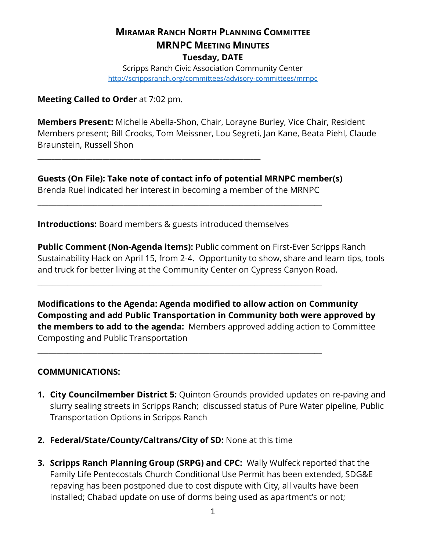# **MIRAMAR RANCH NORTH PLANNING COMMITTEE MRNPC MEETING MINUTES Tuesday, DATE**

Scripps Ranch Civic Association Community Center <http://scrippsranch.org/committees/advisory-committees/mrnpc>

**Meeting Called to Order** at 7:02 pm.

**Members Present:** Michelle Abella-Shon, Chair, Lorayne Burley, Vice Chair, Resident Members present; Bill Crooks, Tom Meissner, Lou Segreti, Jan Kane, Beata Piehl, Claude Braunstein, Russell Shon

**Guests (On File): Take note of contact info of potential MRNPC member(s)** Brenda Ruel indicated her interest in becoming a member of the MRNPC

\_\_\_\_\_\_\_\_\_\_\_\_\_\_\_\_\_\_\_\_\_\_\_\_\_\_\_\_\_\_\_\_\_\_\_\_\_\_\_\_\_\_\_\_\_\_\_\_\_\_\_\_\_\_\_\_\_\_\_\_\_\_\_\_\_\_\_\_\_\_\_\_\_\_\_\_

\_\_\_\_\_\_\_\_\_\_\_\_\_\_\_\_\_\_\_\_\_\_\_\_\_\_\_\_\_\_\_\_\_\_\_\_\_\_\_\_\_\_\_\_\_\_\_\_\_\_\_\_\_\_\_\_\_\_\_\_\_\_\_\_\_\_\_\_\_\_\_\_\_\_\_\_

\_\_\_\_\_\_\_\_\_\_\_\_\_\_\_\_\_\_\_\_\_\_\_\_\_\_\_\_\_\_\_\_\_\_\_\_\_\_\_\_\_\_\_\_\_\_\_\_\_\_\_\_\_\_\_\_\_\_\_\_\_\_\_\_\_\_\_\_\_\_\_\_\_\_\_\_

**Introductions:** Board members & guests introduced themselves

**\_\_\_\_\_\_\_\_\_\_\_\_\_\_\_\_\_\_\_\_\_\_\_\_\_\_\_\_\_\_\_\_\_\_\_\_\_\_\_\_\_\_\_\_\_\_\_\_\_\_\_\_\_\_\_\_\_\_\_\_\_\_\_\_\_**

**Public Comment (Non-Agenda items):** Public comment on First-Ever Scripps Ranch Sustainability Hack on April 15, from 2-4. Opportunity to show, share and learn tips, tools and truck for better living at the Community Center on Cypress Canyon Road.

**Modifications to the Agenda: Agenda modified to allow action on Community Composting and add Public Transportation in Community both were approved by the members to add to the agenda:** Members approved adding action to Committee Composting and Public Transportation

### **COMMUNICATIONS:**

- **1. City Councilmember District 5:** Quinton Grounds provided updates on re-paving and slurry sealing streets in Scripps Ranch; discussed status of Pure Water pipeline, Public Transportation Options in Scripps Ranch
- **2. Federal/State/County/Caltrans/City of SD:** None at this time
- **3. Scripps Ranch Planning Group (SRPG) and CPC:** Wally Wulfeck reported that the Family Life Pentecostals Church Conditional Use Permit has been extended, SDG&E repaving has been postponed due to cost dispute with City, all vaults have been installed; Chabad update on use of dorms being used as apartment's or not;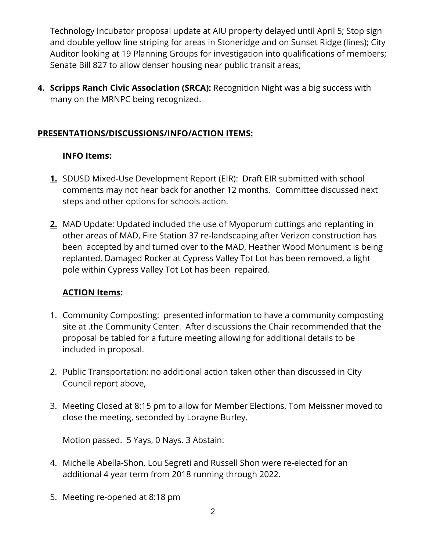Technology Incubator proposal update at AIU property delayed until April 5; Stop sign and double yellow line striping for areas in Stoneridge and on Sunset Ridge (lines); City Auditor looking at 19 Planning Groups for investigation into qualifications of members; Senate Bill 827 to allow denser housing near public transit areas;

**4. Scripps Ranch Civic Association (SRCA):** Recognition Night was a big success with many on the MRNPC being recognized.

# **PRESENTATIONS/DISCUSSIONS/INFO/ACTION ITEMS:**

### **INFO Items:**

- **1.** SDUSD Mixed-Use Development Report (EIR): Draft EIR submitted with school comments may not hear back for another 12 months. Committee discussed next steps and other options for schools action.
- **2.** MAD Update: Updated included the use of Myoporum cuttings and replanting in other areas of MAD, Fire Station 37 re-landscaping after Verizon construction has been accepted by and turned over to the MAD, Heather Wood Monument is being replanted, Damaged Rocker at Cypress Valley Tot Lot has been removed, a light pole within Cypress Valley Tot Lot has been repaired.

# **ACTION Items:**

- 1. Community Composting: presented information to have a community composting site at .the Community Center. After discussions the Chair recommended that the proposal be tabled for a future meeting allowing for additional details to be included in proposal.
- 2. Public Transportation: no additional action taken other than discussed in City Council report above,
- 3. Meeting Closed at 8:15 pm to allow for Member Elections, Tom Meissner moved to close the meeting, seconded by Lorayne Burley.

Motion passed. 5 Yays, 0 Nays. 3 Abstain:

- 4. Michelle Abella-Shon, Lou Segreti and Russell Shon were re-elected for an additional 4 year term from 2018 running through 2022.
- 5. Meeting re-opened at 8:18 pm